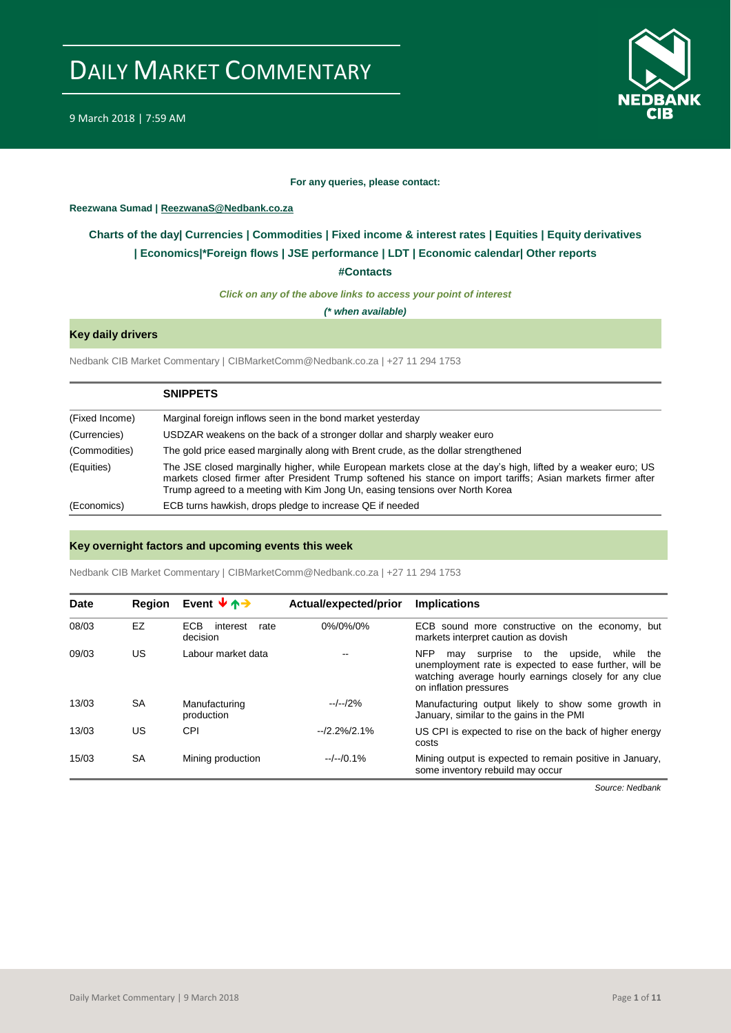

#### **For any queries, please contact:**

#### <span id="page-0-0"></span>**Reezwana Sumad | ReezwanaS@Nedbank.co.za**

### **Charts of the day| [Currencies](#page-2-0) [| Commodities](#page-3-0) | [Fixed income & interest rates](#page-1-0) | [Equities](#page-4-0) | Equity derivatives | [Economics|\\*](#page-7-0)Foreign flows [| JSE performance](#page-4-1) | [LDT](#page-5-0) | [Economic calendar|](#page-8-0) Other reports**

#### **[#Contacts](#page-9-0)**

*Click on any of the above links to access your point of interest*

*(\* when available)*

### **Key daily drivers**

Nedbank CIB Market Commentary | CIBMarketComm@Nedbank.co.za | +27 11 294 1753

|                | <b>SNIPPETS</b>                                                                                                                                                                                                                                                                                                |
|----------------|----------------------------------------------------------------------------------------------------------------------------------------------------------------------------------------------------------------------------------------------------------------------------------------------------------------|
| (Fixed Income) | Marginal foreign inflows seen in the bond market yesterday                                                                                                                                                                                                                                                     |
| (Currencies)   | USDZAR weakens on the back of a stronger dollar and sharply weaker euro                                                                                                                                                                                                                                        |
| (Commodities)  | The gold price eased marginally along with Brent crude, as the dollar strengthened                                                                                                                                                                                                                             |
| (Equities)     | The JSE closed marginally higher, while European markets close at the day's high, lifted by a weaker euro; US<br>markets closed firmer after President Trump softened his stance on import tariffs; Asian markets firmer after<br>Trump agreed to a meeting with Kim Jong Un, easing tensions over North Korea |
| (Economics)    | ECB turns hawkish, drops pledge to increase QE if needed                                                                                                                                                                                                                                                       |

#### **Key overnight factors and upcoming events this week**

Nedbank CIB Market Commentary | CIBMarketComm@Nedbank.co.za | +27 11 294 1753

| Date  | <b>Region</b> | Event $\forall \uparrow \rightarrow$       | Actual/expected/prior | <b>Implications</b>                                                                                                                                                                                       |
|-------|---------------|--------------------------------------------|-----------------------|-----------------------------------------------------------------------------------------------------------------------------------------------------------------------------------------------------------|
| 08/03 | EZ            | <b>ECB</b><br>interest<br>rate<br>decision | 0%/0%/0%              | ECB sound more constructive on the economy, but<br>markets interpret caution as dovish                                                                                                                    |
| 09/03 | US            | Labour market data                         |                       | <b>NFP</b><br>may surprise to the<br>upside.<br>while<br>the<br>unemployment rate is expected to ease further, will be<br>watching average hourly earnings closely for any clue<br>on inflation pressures |
| 13/03 | <b>SA</b>     | Manufacturing<br>production                | $-/-/2%$              | Manufacturing output likely to show some growth in<br>January, similar to the gains in the PMI                                                                                                            |
| 13/03 | US            | CPI                                        | $-12.2\%/2.1\%$       | US CPI is expected to rise on the back of higher energy<br>costs                                                                                                                                          |
| 15/03 | SA            | Mining production                          | $-/-/0.1%$            | Mining output is expected to remain positive in January.<br>some inventory rebuild may occur                                                                                                              |

*Source: Nedbank*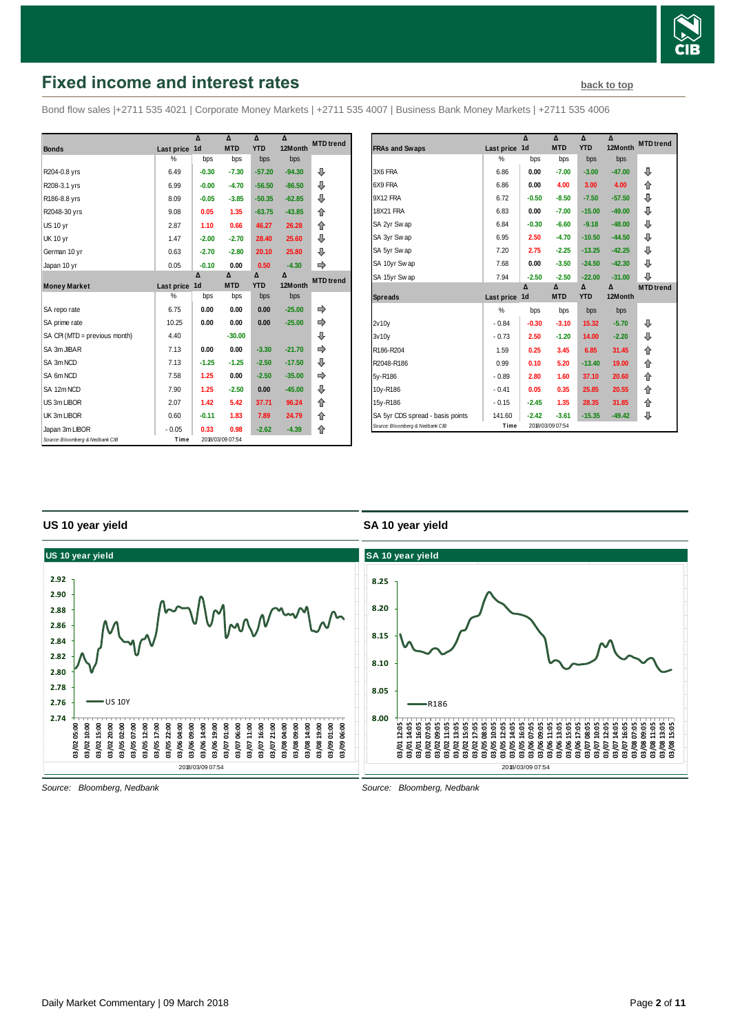

# <span id="page-1-0"></span>**Fixed income and interest rates [back to top](#page-0-0) back to top**

Bond flow sales |+2711 535 4021 | Corporate Money Markets | +2711 535 4007 | Business Bank Money Markets | +2711 535 4006

|                                 |            | Δ              | Δ                | Δ          | Δ        | <b>MTD</b> trend |
|---------------------------------|------------|----------------|------------------|------------|----------|------------------|
| <b>Bonds</b>                    | Last price | 1 <sub>d</sub> | <b>MTD</b>       | <b>YTD</b> | 12Month  |                  |
|                                 | %          | bps            | bps              | bps        | bps      |                  |
| R204-0.8 yrs                    | 6.49       | $-0.30$        | $-7.30$          | $-57.20$   | $-94.30$ | ⊕                |
| R208-3.1 yrs                    | 6.99       | $-0.00$        | $-4.70$          | $-56.50$   | $-86.50$ | ⊕                |
| R186-8.8 yrs                    | 8.09       | $-0.05$        | $-3.85$          | $-50.35$   | $-62.85$ | ⊕                |
| R2048-30 yrs                    | 9.08       | 0.05           | 1.35             | $-63.75$   | $-43.85$ | 合                |
| US 10 yr                        | 2.87       | 1.10           | 0.66             | 46.27      | 26.28    | 合                |
| <b>UK 10 yr</b>                 | 1.47       | $-2.00$        | $-2.70$          | 28.40      | 25.60    | ⊕                |
| German 10 yr                    | 0.63       | $-2.70$        | $-2.80$          | 20.10      | 25.80    | ⊕                |
| Japan 10 yr                     | 0.05       | $-0.10$        | 0.00             | 0.50       | $-4.30$  |                  |
|                                 |            | Δ              | Δ                | Δ          | Δ        | <b>MTD</b> trend |
| <b>Money Market</b>             | Last price | 1 <sub>d</sub> | <b>MTD</b>       | <b>YTD</b> | 12Month  |                  |
|                                 | %          | bps            | bps              | bps        | bps      |                  |
| SA repo rate                    | 6.75       | 0.00           | 0.00             | 0.00       | $-25.00$ |                  |
| SA prime rate                   | 10.25      | 0.00           | 0.00             | 0.00       | $-25.00$ |                  |
| SA CPI (MTD = previous month)   | 4.40       |                | $-30.00$         |            |          | ⊕                |
| SA 3m JIBAR                     | 7.13       | 0.00           | 0.00             | $-3.30$    | $-21.70$ | ⇛                |
| SA 3m NCD                       | 7.13       | $-1.25$        | $-1.25$          | $-2.50$    | $-17.50$ | ⊕                |
| SA 6m NCD                       | 7.58       | 1.25           | 0.00             | $-2.50$    | $-35.00$ | ⇛                |
| SA 12m NCD                      | 7.90       | 1.25           | $-2.50$          | 0.00       | $-45.00$ | ⊕                |
| US 3m LIBOR                     | 2.07       | 1.42           | 5.42             | 37.71      | 96.24    | ⇑                |
| UK 3m LIBOR                     | 0.60       | $-0.11$        | 1.83             | 7.89       | 24.79    | ⇑                |
| Japan 3m LIBOR                  | $-0.05$    | 0.33           | 0.98             | $-2.62$    | $-4.39$  | 合                |
| Source: Bloomberg & Nedbank CIB | Time       |                | 2018/03/09 07:54 |            |          |                  |

|                                  |            | Δ              | Δ                | Δ          | Δ        | <b>MTD</b> trend |
|----------------------------------|------------|----------------|------------------|------------|----------|------------------|
| <b>FRAs and Swaps</b>            | Last price | 1 <sub>d</sub> | <b>MTD</b>       | <b>YTD</b> | 12Month  |                  |
|                                  | $\%$       | bps            | bps              | bps        | bps      |                  |
| 3X6 FRA                          | 6.86       | 0.00           | $-7.00$          | $-3.00$    | $-47.00$ | ⊕                |
| 6X9 FRA                          | 6.86       | 0.00           | 4.00             | 3.00       | 4.00     | ⇑                |
| 9X12 FRA                         | 6.72       | $-0.50$        | $-8.50$          | $-7.50$    | $-57.50$ | ⊕                |
| <b>18X21 FRA</b>                 | 6.83       | 0.00           | $-7.00$          | $-15.00$   | $-49.00$ | ⊕                |
| SA 2yr Swap                      | 6.84       | $-0.30$        | $-6.60$          | $-9.18$    | $-48.00$ | ⊕                |
| SA 3yr Swap                      | 6.95       | 2.50           | $-4.70$          | $-10.50$   | $-44.50$ | ⊕                |
| SA 5yr Swap                      | 7.20       | 2.75           | $-2.25$          | $-13.25$   | $-42.25$ | ⊕                |
| SA 10yr Swap                     | 7.68       | 0.00           | $-3.50$          | $-24.50$   | $-42.30$ | ⊕                |
| SA 15yr Swap                     | 7.94       | $-2.50$        | $-2.50$          | $-22.00$   | $-31.00$ | ⊕                |
|                                  |            | Δ              | Δ                | Δ          | Δ        | <b>MTD</b> trend |
| <b>Spreads</b>                   | Last price | 1d             | <b>MTD</b>       | <b>YTD</b> | 12Month  |                  |
|                                  | %          | bps            | bps              | bps        | bps      |                  |
| 2v10v                            | $-0.84$    | $-0.30$        | $-3.10$          | 15.32      | $-5.70$  | ⊕                |
| 3v10v                            | $-0.73$    | 2.50           | $-1.20$          | 14.00      | $-2.20$  | ⇩                |
| R186-R204                        | 1.59       | 0.25           | 3.45             | 6.85       | 31.45    | ⇑                |
| R2048-R186                       | 0.99       | 0.10           | 5.20             | $-13.40$   | 19.00    | 合                |
| 5y-R186                          | $-0.89$    | 2.80           | 1.60             | 37.10      | 20.60    | ⇑                |
| 10y-R186                         | $-0.41$    | 0.05           | 0.35             | 25.85      | 20.55    | 企                |
| 15y-R186                         | $-0.15$    | $-2.45$        | 1.35             | 28.35      | 31.85    | ⇑                |
| SA 5yr CDS spread - basis points | 141.60     | $-2.42$        | $-3.61$          | $-15.35$   | $-49.42$ | ⊕                |
| Source: Bloomberg & Nedbank CIB  | Time       |                | 2018/03/09 07:54 |            |          |                  |

#### **US 10 year yield**

#### **SA 10 year yield**



*Source: Bloomberg, Nedbank*

*Source: Bloomberg, Nedbank*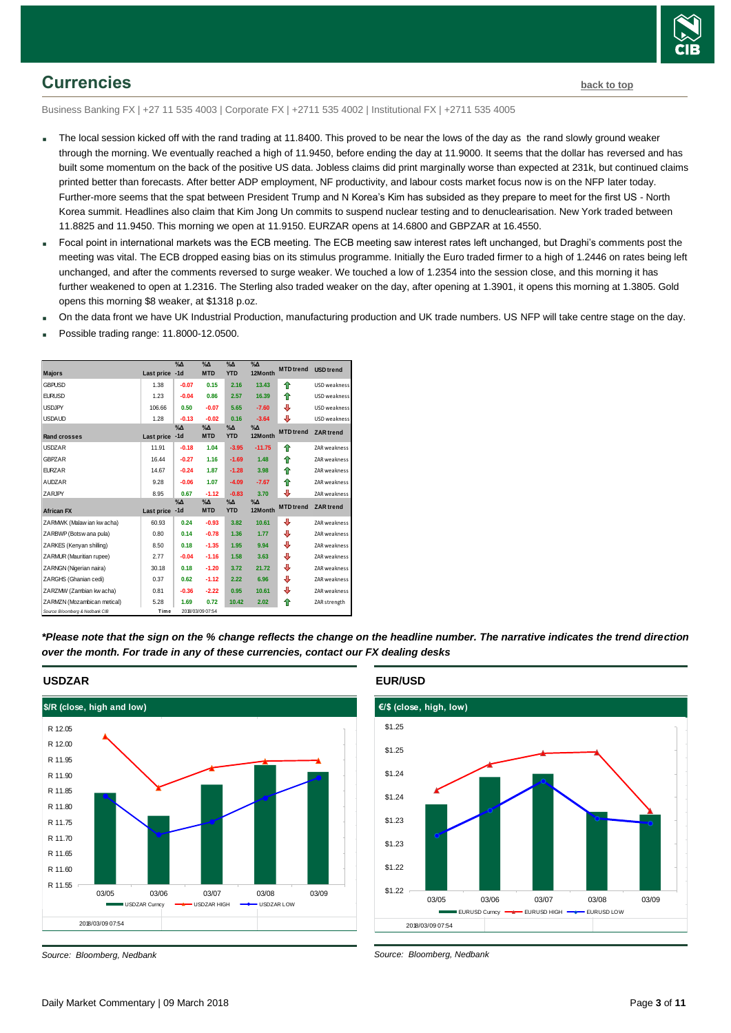

## <span id="page-2-0"></span>**Currencies [back to top](#page-0-0)**

Business Banking FX | +27 11 535 4003 | Corporate FX | +2711 535 4002 | Institutional FX | +2711 535 4005

- The local session kicked off with the rand trading at 11.8400. This proved to be near the lows of the day as the rand slowly ground weaker through the morning. We eventually reached a high of 11.9450, before ending the day at 11.9000. It seems that the dollar has reversed and has built some momentum on the back of the positive US data. Jobless claims did print marginally worse than expected at 231k, but continued claims printed better than forecasts. After better ADP employment, NF productivity, and labour costs market focus now is on the NFP later today. Further-more seems that the spat between President Trump and N Korea's Kim has subsided as they prepare to meet for the first US - North Korea summit. Headlines also claim that Kim Jong Un commits to suspend nuclear testing and to denuclearisation. New York traded between 11.8825 and 11.9450. This morning we open at 11.9150. EURZAR opens at 14.6800 and GBPZAR at 16.4550.
- Focal point in international markets was the ECB meeting. The ECB meeting saw interest rates left unchanged, but Draghi's comments post the meeting was vital. The ECB dropped easing bias on its stimulus programme. Initially the Euro traded firmer to a high of 1.2446 on rates being left unchanged, and after the comments reversed to surge weaker. We touched a low of 1.2354 into the session close, and this morning it has further weakened to open at 1.2316. The Sterling also traded weaker on the day, after opening at 1.3901, it opens this morning at 1.3805. Gold opens this morning \$8 weaker, at \$1318 p.oz.
- On the data front we have UK Industrial Production, manufacturing production and UK trade numbers. US NFP will take centre stage on the day.
- Possible trading range: 11.8000-12.0500.

| <b>Majors</b>                   | Last price | $\%$ $\Delta$<br>$-1d$ | $\%$ $\Delta$<br><b>MTD</b> | $\Delta N$<br><b>YTD</b>  | $\%$ $\Delta$<br>12Month | <b>MTD</b> trend | <b>USD</b> trend    |
|---------------------------------|------------|------------------------|-----------------------------|---------------------------|--------------------------|------------------|---------------------|
| <b>GBPUSD</b>                   | 1.38       | $-0.07$                | 0.15                        | 2.16                      | 13.43                    | ♠                | USD weakness        |
| <b>EURUSD</b>                   | 1.23       | $-0.04$                | 0.86                        | 2.57                      | 16.39                    | ♠                | USD weakness        |
| <b>USDJPY</b>                   | 106.66     | 0.50                   | $-0.07$                     | 5.65                      | $-7.60$                  | ₽                | USD weakness        |
| <b>USDAUD</b>                   | 1.28       | $-0.13$                | $-0.02$                     | 0.16                      | $-3.64$                  | ⇩                | USD weakness        |
| <b>Rand crosses</b>             | Last price | %Δ<br>$-1d$            | $\% \Delta$<br><b>MTD</b>   | $\% \Delta$<br><b>YTD</b> | $\%$ $\Delta$<br>12Month | <b>MTD</b> trend | <b>ZAR</b> trend    |
| <b>USDZAR</b>                   | 11.91      | $-0.18$                | 1.04                        | $-3.95$                   | $-11.75$                 | ♠                | ZAR weakness        |
| <b>GBPZAR</b>                   | 16.44      | $-0.27$                | 1.16                        | $-1.69$                   | 1.48                     | ♠                | ZAR weakness        |
| <b>EURZAR</b>                   | 14.67      | $-0.24$                | 1.87                        | $-1.28$                   | 3.98                     | ♠                | ZAR weakness        |
| <b>AUDZAR</b>                   | 9.28       | $-0.06$                | 1.07                        | $-4.09$                   | $-7.67$                  | ↟                | ZAR weakness        |
| ZARJPY                          | 8.95       | 0.67                   | $-1.12$                     | $-0.83$                   | 3.70                     | ⇩                | ZAR weakness        |
| <b>African FX</b>               | Last price | $\%$ $\Delta$<br>$-1d$ | $\% \Delta$<br><b>MTD</b>   | $\% \Delta$<br><b>YTD</b> | $\% \Delta$<br>12Month   | <b>MTD</b> trend | <b>ZAR</b> trend    |
| ZARMWK (Malaw ian kw acha)      | 60.93      | 0.24                   | $-0.93$                     | 3.82                      | 10.61                    | ⊕                | ZAR weakness        |
| ZARBWP (Botsw ana pula)         | 0.80       | 0.14                   | $-0.78$                     | 1.36                      | 1.77                     | ⊕                | ZAR weakness        |
| ZARKES (Kenvan shilling)        | 8.50       | 0.18                   | $-1.35$                     | 1.95                      | 9.94                     | ⊕                | ZAR weakness        |
| ZARMUR (Mauritian rupee)        | 2.77       | $-0.04$                | $-1.16$                     | 1.58                      | 3.63                     | ⇩                | ZAR weakness        |
| ZARNGN (Nigerian naira)         | 30.18      | 0.18                   | $-1.20$                     | 3.72                      | 21.72                    | ⇩                | ZAR weakness        |
| ZARGHS (Ghanian cedi)           | 0.37       | 0.62                   | $-1.12$                     | 2.22                      | 6.96                     | ⇩                | <b>ZAR</b> weakness |
| ZARZMW (Zambian kw acha)        | 0.81       | $-0.36$                | $-2.22$                     | 0.95                      | 10.61                    | ⊕                | ZAR weakness        |
| ZARMZN (Mozambican metical)     | 5.28       | 1.69                   | 0.72                        | 10.42                     | 2.02                     | ⇑                | ZAR strength        |
| Source: Bloomberg & Nedbank CIB | Time       |                        | 2018/03/09 07:54            |                           |                          |                  |                     |

*\*Please note that the sign on the % change reflects the change on the headline number. The narrative indicates the trend direction over the month. For trade in any of these currencies, contact our FX dealing desks*



#### *Source: Bloomberg, Nedbank*

**EUR/USD**



*Source: Bloomberg, Nedbank*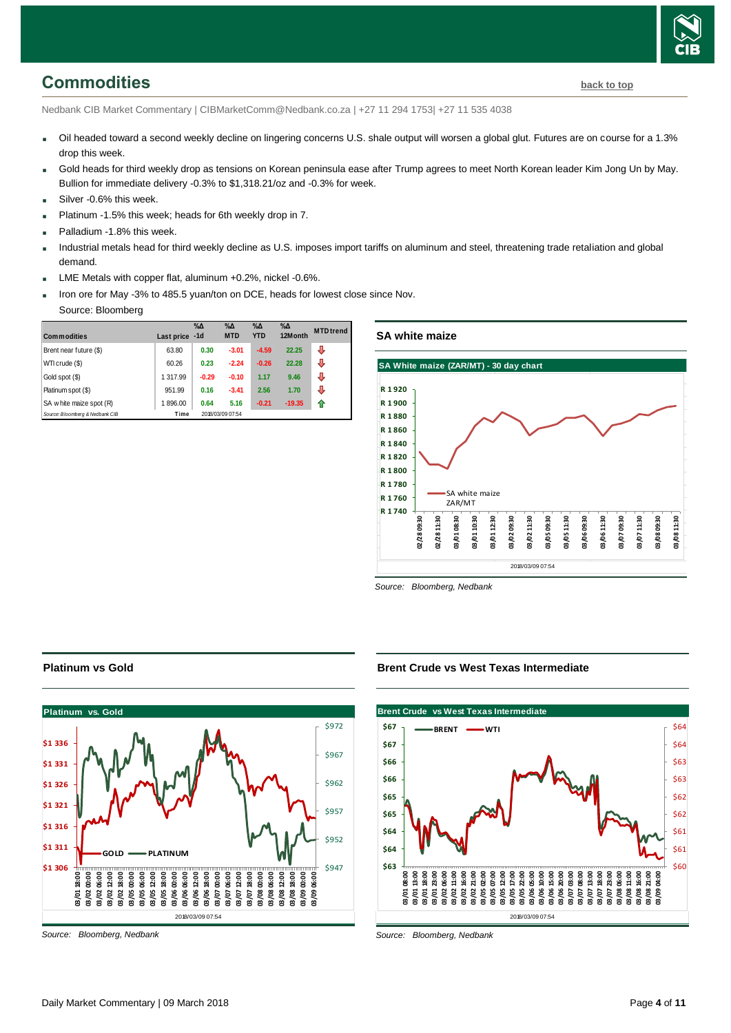# <span id="page-3-0"></span>**Commodities [back to top](#page-0-0)**

Nedbank CIB Market Commentary | CIBMarketComm@Nedbank.co.za | +27 11 294 1753| +27 11 535 4038

- Oil headed toward a second weekly decline on lingering concerns U.S. shale output will worsen a global glut. Futures are on course for a 1.3% drop this week.
- Gold heads for third weekly drop as tensions on Korean peninsula ease after Trump agrees to meet North Korean leader Kim Jong Un by May. Bullion for immediate delivery -0.3% to \$1,318.21/oz and -0.3% for week.
- Silver -0.6% this week
- Platinum -1.5% this week; heads for 6th weekly drop in 7.
- Palladium -1.8% this week.
- Industrial metals head for third weekly decline as U.S. imposes import tariffs on aluminum and steel, threatening trade retaliation and global demand.
- LME Metals with copper flat, aluminum +0.2%, nickel -0.6%.
- Iron ore for May -3% to 485.5 yuan/ton on DCE, heads for lowest close since Nov.
- Source: Bloomberg

| <b>Commodities</b>              | Last price | $\%$ $\Delta$<br>$-1d$ | $\% \Delta$<br><b>MTD</b> | $\% \Delta$<br><b>YTD</b> | $\% \Delta$<br>12Month | <b>MTD</b> trend |
|---------------------------------|------------|------------------------|---------------------------|---------------------------|------------------------|------------------|
| Brent near future (\$)          | 63.80      | 0.30                   | $-3.01$                   | $-4.59$                   | 22.25                  | ⊕                |
| WTI crude (\$)                  | 60.26      | 0.23                   | $-2.24$                   | $-0.26$                   | 22.28                  | ⊕                |
| Gold spot (\$)                  | 1 317.99   | $-0.29$                | $-0.10$                   | 1.17                      | 9.46                   | J                |
| Platinum spot (\$)              | 951.99     | 0.16                   | $-3.41$                   | 2.56                      | 1.70                   | ⊕                |
| SA w hite maize spot (R)        | 1896.00    | 0.64                   | 5.16                      | $-0.21$                   | $-19.35$               | ⋒                |
| Source: Bloomberg & Nedbank CIB | Time       |                        | 2018/03/09 07:54          |                           |                        |                  |

**SA white maize**



*Source: Bloomberg, Nedbank*

#### **Platinum vs Gold**



*Source: Bloomberg, Nedbank*

**Brent Crude vs West Texas Intermediate**



*Source: Bloomberg, Nedbank*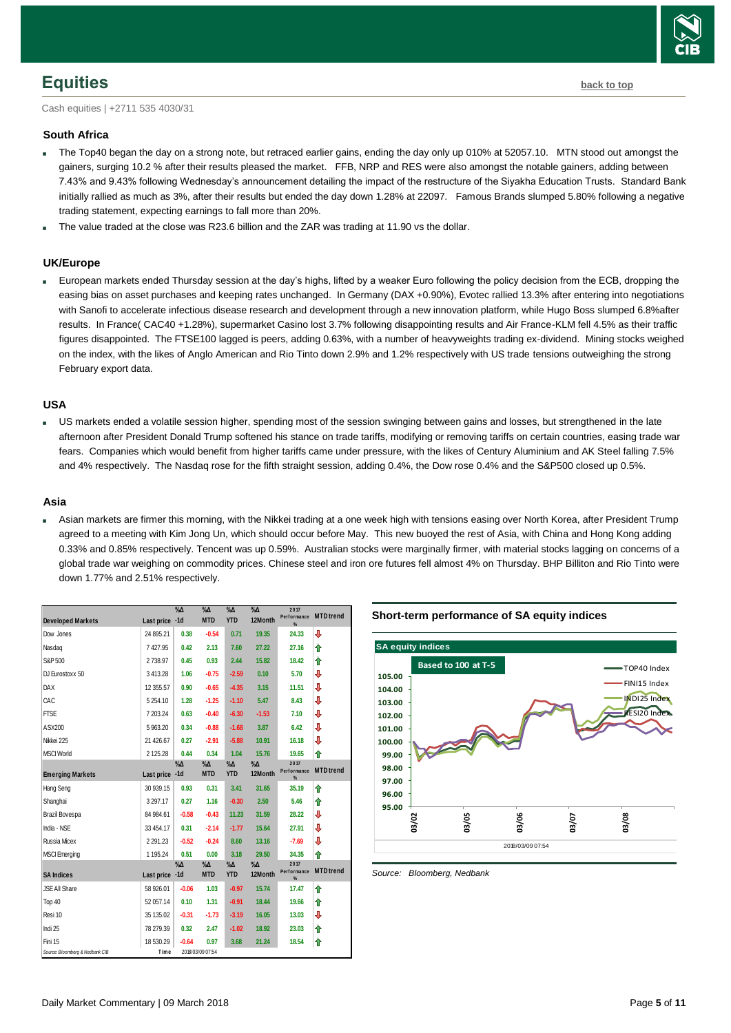

### <span id="page-4-0"></span>**Equities [back to top](#page-0-0)**

Cash equities | +2711 535 4030/31

#### **South Africa**

- The Top40 began the day on a strong note, but retraced earlier gains, ending the day only up 010% at 52057.10. MTN stood out amongst the gainers, surging 10.2 % after their results pleased the market. FFB, NRP and RES were also amongst the notable gainers, adding between 7.43% and 9.43% following Wednesday's announcement detailing the impact of the restructure of the Siyakha Education Trusts. Standard Bank initially rallied as much as 3%, after their results but ended the day down 1.28% at 22097. Famous Brands slumped 5.80% following a negative trading statement, expecting earnings to fall more than 20%.
- The value traded at the close was R23.6 billion and the ZAR was trading at 11.90 vs the dollar.

#### **UK/Europe**

 European markets ended Thursday session at the day's highs, lifted by a weaker Euro following the policy decision from the ECB, dropping the easing bias on asset purchases and keeping rates unchanged. In Germany (DAX +0.90%), Evotec rallied 13.3% after entering into negotiations with Sanofi to accelerate infectious disease research and development through a new innovation platform, while Hugo Boss slumped 6.8%after results. In France( CAC40 +1.28%), supermarket Casino lost 3.7% following disappointing results and Air France-KLM fell 4.5% as their traffic figures disappointed. The FTSE100 lagged is peers, adding 0.63%, with a number of heavyweights trading ex-dividend. Mining stocks weighed on the index, with the likes of Anglo American and Rio Tinto down 2.9% and 1.2% respectively with US trade tensions outweighing the strong February export data.

#### **USA**

 US markets ended a volatile session higher, spending most of the session swinging between gains and losses, but strengthened in the late afternoon after President Donald Trump softened his stance on trade tariffs, modifying or removing tariffs on certain countries, easing trade war fears. Companies which would benefit from higher tariffs came under pressure, with the likes of Century Aluminium and AK Steel falling 7.5% and 4% respectively. The Nasdaq rose for the fifth straight session, adding 0.4%, the Dow rose 0.4% and the S&P500 closed up 0.5%.

#### **Asia**

 Asian markets are firmer this morning, with the Nikkei trading at a one week high with tensions easing over North Korea, after President Trump agreed to a meeting with Kim Jong Un, which should occur before May. This new buoyed the rest of Asia, with China and Hong Kong adding 0.33% and 0.85% respectively. Tencent was up 0.59%. Australian stocks were marginally firmer, with material stocks lagging on concerns of a global trade war weighing on commodity prices. Chinese steel and iron ore futures fell almost 4% on Thursday. BHP Billiton and Rio Tinto were down 1.77% and 2.51% respectively.

|                                 |                | $\%$ $\Delta$ | $\%$ $\Delta$               | $\%$ $\Delta$               | $\% \Delta$              | 2017<br>Performance      | <b>MTD</b> trend |
|---------------------------------|----------------|---------------|-----------------------------|-----------------------------|--------------------------|--------------------------|------------------|
| <b>Developed Markets</b>        | Last price -1d |               | <b>MTD</b>                  | <b>YTD</b>                  | 12Month                  | %                        |                  |
| Dow Jones                       | 24 895.21      | 0.38          | $-0.54$                     | 0.71                        | 19.35                    | 24.33                    | J                |
| Nasdaq                          | 7427.95        | 0.42          | 2.13                        | 7.60                        | 27.22                    | 27.16                    | ⇑                |
| S&P 500                         | 2738.97        | 0.45          | 0.93                        | 2.44                        | 15.82                    | 18.42                    | ⇑                |
| DJ Eurostoxx 50                 | 3 413.28       | 1.06          | $-0.75$                     | $-2.59$                     | 0.10                     | 5.70                     | J                |
| <b>DAX</b>                      | 12 355.57      | 0.90          | $-0.65$                     | $-4.35$                     | 3.15                     | 11.51                    | J                |
| CAC                             | 5 254.10       | 1.28          | $-1.25$                     | $-1.10$                     | 5.47                     | 8.43                     | J                |
| <b>FTSE</b>                     | 7 203.24       | 0.63          | $-0.40$                     | $-6.30$                     | $-1.53$                  | 7.10                     | J                |
| ASX200                          | 5963.20        | 0.34          | $-0.88$                     | $-1.68$                     | 3.87                     | 6.42                     | ⇩                |
| Nikkei 225                      | 21 4 26.67     | 0.27          | $-2.91$                     | $-5.88$                     | 10.91                    | 16.18                    | ⇩                |
| <b>MSCI World</b>               | 2 125.28       | 0.44          | 0.34                        | 1.04                        | 15.76                    | 19.65                    | ⇑                |
| <b>Emerging Markets</b>         | Last price -1d | $\%$ $\Delta$ | $\%$ $\Delta$<br><b>MTD</b> | $\%$ $\Delta$<br><b>YTD</b> | $\%$ $\Delta$<br>12Month | 2017<br>Performance<br>% | <b>MTD</b> trend |
| <b>Hang Seng</b>                | 30 939.15      | 0.93          | 0.31                        | 3.41                        | 31.65                    | 35.19                    | ⇑                |
| Shanghai                        | 3 297.17       | 0.27          | 1.16                        | $-0.30$                     | 2.50                     | 5.46                     | ⇑                |
| Brazil Bovespa                  | 84 984.61      | $-0.58$       | $-0.43$                     | 11.23                       | 31.59                    | 28.22                    | J                |
| India - NSE                     | 33 454.17      | 0.31          | $-2.14$                     | $-1.77$                     | 15.64                    | 27.91                    | J                |
| <b>Russia Micex</b>             | 2 2 9 1 . 2 3  | $-0.52$       | $-0.24$                     | 8.60                        | 13.16                    | $-7.69$                  | J                |
| <b>MSCI Emerging</b>            | 1 195.24       | 0.51          | 0.00                        | 3.18                        | 29.50                    | 34.35                    | ⇑                |
|                                 |                | $\%$ $\Delta$ | $\%$ $\Delta$<br><b>MTD</b> | $\%$ $\Delta$               | $\%$ $\Delta$<br>12Month | 2017<br>Performance      | <b>MTD</b> trend |
| <b>SA Indices</b>               | Last price -1d |               |                             | <b>YTD</b>                  |                          | %                        |                  |
| <b>JSE All Share</b>            | 58 926.01      | $-0.06$       | 1.03                        | $-0.97$                     | 15.74                    | 17.47                    | ⇑                |
| Top 40                          | 52 057.14      | 0.10          | 1.31                        | $-0.91$                     | 18.44                    | 19.66                    | ⇑                |
| Resi 10                         | 35 135.02      | $-0.31$       | $-1.73$                     | $-3.19$                     | 16.05                    | 13.03                    | J                |
| Indi 25                         | 78 279.39      | 0.32          | 2.47                        | $-1.02$                     | 18.92                    | 23.03                    | ⇑                |
| Fini 15                         | 18 530.29      | $-0.64$       | 0.97                        | 3.68                        | 21.24                    | 18.54                    | ⇑                |
| Source: Bloomberg & Nedbank CIB | Time           |               | 2018/03/09 07:54            |                             |                          |                          |                  |

**Short-term performance of SA equity indices**



<span id="page-4-1"></span>*Source: Bloomberg, Nedbank*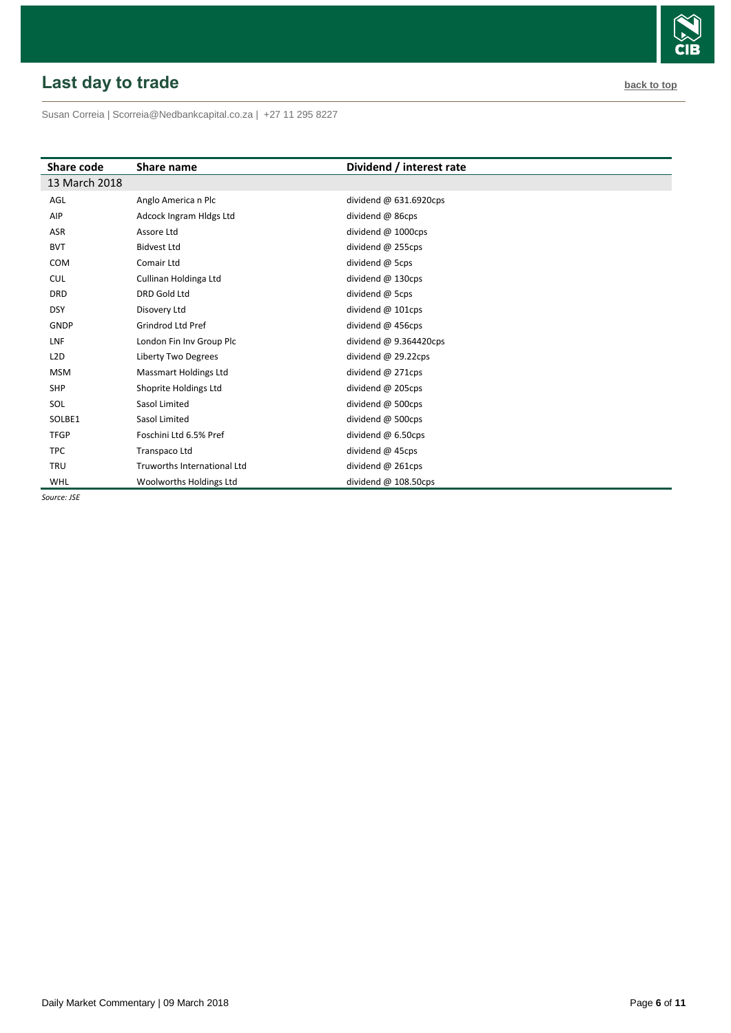# <span id="page-5-0"></span>**Last day to trade back to the contract of the contract of the contract of the contract of the contract of the contract of the contract of the contract of the contract of the contract of the contract of the contract of t**

Susan Correia [| Scorreia@Nedbankcapital.co.za](mailto:Scorreia@Nedbankcapital.co.za) | +27 11 295 8227

| Share code       | Share name                   | Dividend / interest rate |
|------------------|------------------------------|--------------------------|
| 13 March 2018    |                              |                          |
| AGL              | Anglo America n Plc          | dividend $@$ 631.6920cps |
| AIP              | Adcock Ingram Hidgs Ltd      | dividend @ 86cps         |
| <b>ASR</b>       | Assore Ltd                   | dividend @ 1000cps       |
| <b>BVT</b>       | <b>Bidvest Ltd</b>           | dividend @ 255cps        |
| <b>COM</b>       | Comair Ltd                   | dividend @ 5cps          |
| <b>CUL</b>       | Cullinan Holdinga Ltd        | dividend $@$ 130cps      |
| <b>DRD</b>       | DRD Gold Ltd                 | dividend @ 5cps          |
| <b>DSY</b>       | Disovery Ltd                 | dividend @ 101cps        |
| <b>GNDP</b>      | Grindrod Ltd Pref            | dividend @ 456cps        |
| LNF              | London Fin Inv Group Plc     | dividend $@9.364420$ cps |
| L <sub>2</sub> D | <b>Liberty Two Degrees</b>   | dividend $@$ 29.22cps    |
| <b>MSM</b>       | <b>Massmart Holdings Ltd</b> | dividend @ 271cps        |
| <b>SHP</b>       | Shoprite Holdings Ltd        | dividend @ 205cps        |
| <b>SOL</b>       | Sasol Limited                | dividend @ 500cps        |
| SOLBE1           | Sasol Limited                | dividend $@$ 500cps      |
| <b>TFGP</b>      | Foschini Ltd 6.5% Pref       | dividend $@6.50$ cps     |
| <b>TPC</b>       | Transpaco Ltd                | dividend @ 45cps         |
| <b>TRU</b>       | Truworths International Ltd  | dividend @ 261cps        |
| WHL              | Woolworths Holdings Ltd      | dividend @ 108.50cps     |

*Source: JSE*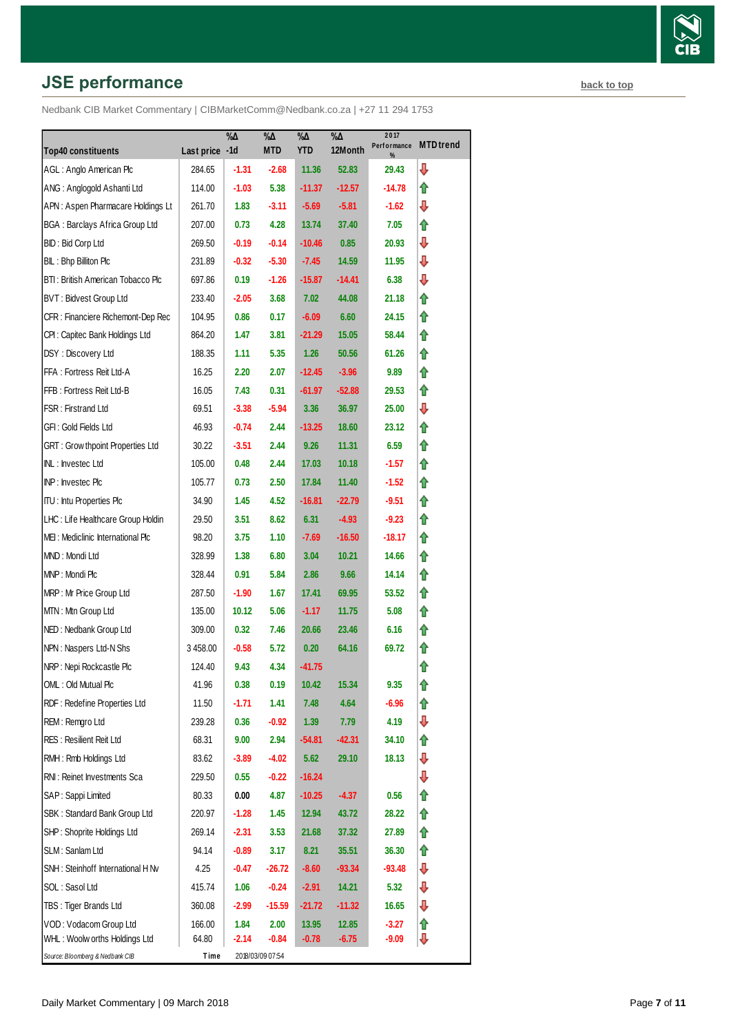# **JSE performance [back to top](#page-0-0) back to top**

|                                       |                | $\% \Delta$ | %Д               | $\% \Delta$ | $\sqrt[9]{6\Delta}$ | 2017             | <b>MTD</b> trend |
|---------------------------------------|----------------|-------------|------------------|-------------|---------------------|------------------|------------------|
| <b>Top40 constituents</b>             | Last price -1d |             | <b>MTD</b>       | <b>YTD</b>  | 12Month             | Performance<br>% |                  |
| AGL: Anglo American Plc               | 284.65         | $-1.31$     | $-2.68$          | 11.36       | 52.83               | 29.43            | ⇩                |
| ANG: Anglogold Ashanti Ltd            | 114.00         | $-1.03$     | 5.38             | $-11.37$    | $-12.57$            | -14.78           | ⇑                |
| APN: Aspen Pharmacare Holdings Lt     | 261.70         | 1.83        | $-3.11$          | $-5.69$     | $-5.81$             | -1.62            | ⇩                |
| <b>BGA: Barclays Africa Group Ltd</b> | 207.00         | 0.73        | 4.28             | 13.74       | 37.40               | 7.05             | ⇑                |
| BID: Bid Corp Ltd                     | 269.50         | $-0.19$     | $-0.14$          | $-10.46$    | 0.85                | 20.93            | ⇩                |
| BIL: Bhp Billiton Plc                 | 231.89         | $-0.32$     | $-5.30$          | $-7.45$     | 14.59               | 11.95            | ⇩                |
| BTI: British American Tobacco Plc     | 697.86         | 0.19        | $-1.26$          | $-15.87$    | $-14.41$            | 6.38             | ⇩                |
| BVT: Bidvest Group Ltd                | 233.40         | $-2.05$     | 3.68             | 7.02        | 44.08               | 21.18            | ⇑                |
| CFR : Financiere Richemont-Dep Rec    | 104.95         | 0.86        | 0.17             | $-6.09$     | 6.60                | 24.15            | ⇑                |
| CPI: Capitec Bank Holdings Ltd        | 864.20         | 1.47        | 3.81             | $-21.29$    | 15.05               | 58.44            | ⇑                |
| DSY: Discovery Ltd                    | 188.35         | 1.11        | 5.35             | 1.26        | 50.56               | 61.26            | ⇑                |
| FFA: Fortress Reit Ltd-A              | 16.25          | 2.20        | 2.07             | $-12.45$    | $-3.96$             | 9.89             | ⇑                |
| FFB: Fortress Reit Ltd-B              | 16.05          | 7.43        | 0.31             | -61.97      | $-52.88$            | 29.53            | ⇑                |
| FSR: Firstrand Ltd                    | 69.51          | $-3.38$     | $-5.94$          | 3.36        | 36.97               | 25.00            | ⇩                |
| GFI: Gold Fields Ltd                  | 46.93          | $-0.74$     | 2.44             | $-13.25$    | 18.60               | 23.12            | ⇑                |
| GRT : Grow thpoint Properties Ltd     | 30.22          | $-3.51$     | 2.44             | 9.26        | 11.31               | 6.59             | ⇑                |
| INL: Investec Ltd                     | 105.00         | 0.48        | 2.44             | 17.03       | 10.18               | $-1.57$          | ⇑                |
| INP: Investec Plc                     | 105.77         | 0.73        | 2.50             | 17.84       | 11.40               | -1.52            | ⇑                |
| <b>ITU: Intu Properties Plc</b>       | 34.90          | 1.45        | 4.52             | $-16.81$    | $-22.79$            | $-9.51$          | ⇑                |
| LHC: Life Healthcare Group Holdin     | 29.50          | 3.51        | 8.62             | 6.31        | $-4.93$             | $-9.23$          | ⇑                |
| MEI: Mediclinic International Plc     | 98.20          | 3.75        | 1.10             | $-7.69$     | $-16.50$            | -18.17           | ⇑                |
| MND: Mondi Ltd                        | 328.99         | 1.38        | 6.80             | 3.04        | 10.21               | 14.66            | ⇑                |
| MNP: Mondi Plc                        | 328.44         | 0.91        | 5.84             | 2.86        | 9.66                | 14.14            | ⇑                |
| MRP: Mr Price Group Ltd               | 287.50         | $-1.90$     | 1.67             | 17.41       | 69.95               | 53.52            | ⇑                |
| MTN: Mtn Group Ltd                    | 135.00         | 10.12       | 5.06             | $-1.17$     | 11.75               | 5.08             | ⇑                |
| NED: Nedbank Group Ltd                | 309.00         | 0.32        | 7.46             | 20.66       | 23.46               | 6.16             | ⇑                |
| NPN: Naspers Ltd-N Shs                | 3 458.00       | $-0.58$     | 5.72             | 0.20        | 64.16               | 69.72            | ⇑                |
| NRP: Nepi Rockcastle Plc              | 124.40         | 9.43        | 4.34             | $-41.75$    |                     |                  | ⇑                |
| OML: Old Mutual Plc                   | 41.96          | 0.38        | 0.19             | 10.42       | 15.34               | 9.35             | ⇑                |
| RDF: Redefine Properties Ltd          | 11.50          | -1.71       | 1.41             | 7.48        | 4.64                | $-6.96$          | ⇑                |
| REM: Remgro Ltd                       | 239.28         | 0.36        | -0.92            | 1.39        | 7.79                | 4.19             | ⇩                |
| <b>RES: Resilient Reit Ltd</b>        | 68.31          | 9.00        | 2.94             | $-54.81$    | $-42.31$            | 34.10            | ⇑                |
| RMH: Rmb Holdings Ltd                 | 83.62          | $-3.89$     | $-4.02$          | 5.62        | 29.10               | 18.13            | ⇩                |
| RNI: Reinet Investments Sca           | 229.50         | 0.55        | $-0.22$          | $-16.24$    |                     |                  | ⊕                |
| SAP: Sappi Limited                    | 80.33          | 0.00        | 4.87             | $-10.25$    | $-4.37$             | 0.56             | ⇮                |
| SBK: Standard Bank Group Ltd          | 220.97         | $-1.28$     | 1.45             | 12.94       | 43.72               | 28.22            | ⇑                |
| SHP: Shoprite Holdings Ltd            | 269.14         | $-2.31$     | 3.53             | 21.68       | 37.32               | 27.89            | ⇑                |
| SLM: Sanlam Ltd                       | 94.14          | $-0.89$     | 3.17             | 8.21        | 35.51               | 36.30            | ⇮                |
| SNH: Steinhoff International H Nv     | 4.25           | $-0.47$     | $-26.72$         | $-8.60$     | $-93.34$            | $-93.48$         | ⇩                |
| SOL: Sasol Ltd                        | 415.74         | 1.06        | $-0.24$          | $-2.91$     | 14.21               | 5.32             | ⇩                |
| TBS: Tiger Brands Ltd                 | 360.08         | $-2.99$     | $-15.59$         | $-21.72$    | $-11.32$            | 16.65            | ⇩                |
| VOD: Vodacom Group Ltd                | 166.00         | 1.84        | 2.00             | 13.95       | 12.85               | $-3.27$          | ⇑                |
| WHL: Woolw orths Holdings Ltd         | 64.80          | $-2.14$     | $-0.84$          | $-0.78$     | $-6.75$             | $-9.09$          | ⇩                |
| Source: Bloomberg & Nedbank CIB       | Time           |             | 2018/03/09 07:54 |             |                     |                  |                  |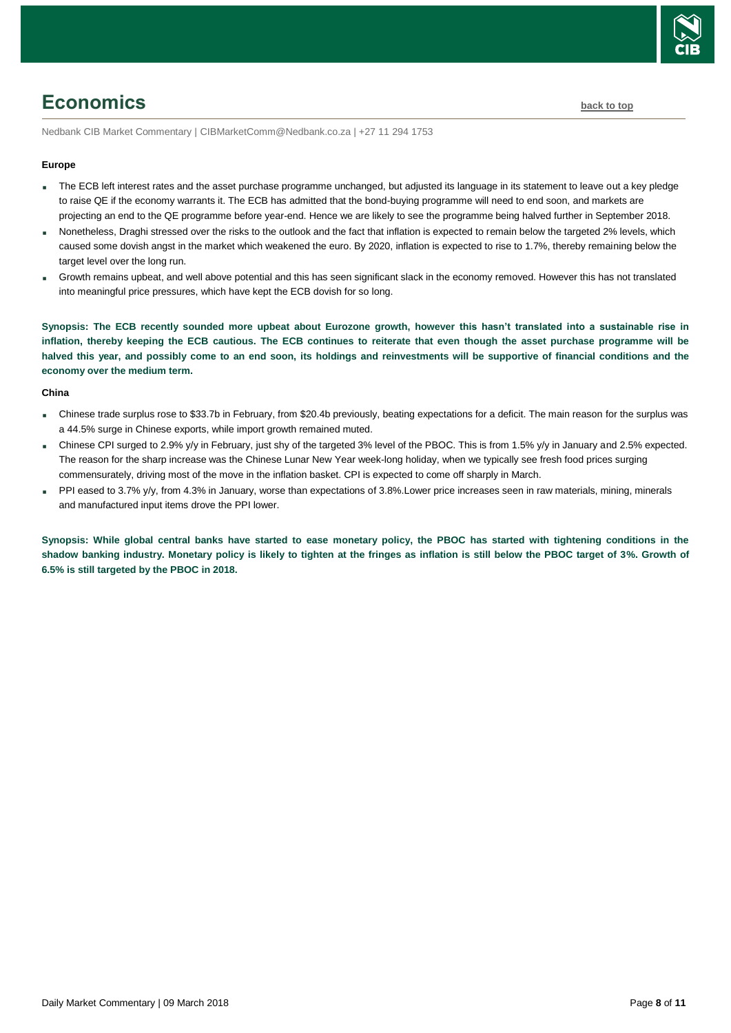

# <span id="page-7-0"></span>**Economics [back to top](#page-0-0)**

Nedbank CIB Market Commentary | CIBMarketComm@Nedbank.co.za | +27 11 294 1753

#### **Europe**

- The ECB left interest rates and the asset purchase programme unchanged, but adjusted its language in its statement to leave out a key pledge to raise QE if the economy warrants it. The ECB has admitted that the bond-buying programme will need to end soon, and markets are projecting an end to the QE programme before year-end. Hence we are likely to see the programme being halved further in September 2018.
- Nonetheless, Draghi stressed over the risks to the outlook and the fact that inflation is expected to remain below the targeted 2% levels, which caused some dovish angst in the market which weakened the euro. By 2020, inflation is expected to rise to 1.7%, thereby remaining below the target level over the long run.
- Growth remains upbeat, and well above potential and this has seen significant slack in the economy removed. However this has not translated into meaningful price pressures, which have kept the ECB dovish for so long.

**Synopsis: The ECB recently sounded more upbeat about Eurozone growth, however this hasn't translated into a sustainable rise in inflation, thereby keeping the ECB cautious. The ECB continues to reiterate that even though the asset purchase programme will be halved this year, and possibly come to an end soon, its holdings and reinvestments will be supportive of financial conditions and the economy over the medium term.**

#### **China**

- Chinese trade surplus rose to \$33.7b in February, from \$20.4b previously, beating expectations for a deficit. The main reason for the surplus was a 44.5% surge in Chinese exports, while import growth remained muted.
- Chinese CPI surged to 2.9% y/y in February, just shy of the targeted 3% level of the PBOC. This is from 1.5% y/y in January and 2.5% expected. The reason for the sharp increase was the Chinese Lunar New Year week-long holiday, when we typically see fresh food prices surging commensurately, driving most of the move in the inflation basket. CPI is expected to come off sharply in March.
- PPI eased to 3.7% y/y, from 4.3% in January, worse than expectations of 3.8%.Lower price increases seen in raw materials, mining, minerals and manufactured input items drove the PPI lower.

**Synopsis: While global central banks have started to ease monetary policy, the PBOC has started with tightening conditions in the shadow banking industry. Monetary policy is likely to tighten at the fringes as inflation is still below the PBOC target of 3%. Growth of 6.5% is still targeted by the PBOC in 2018.**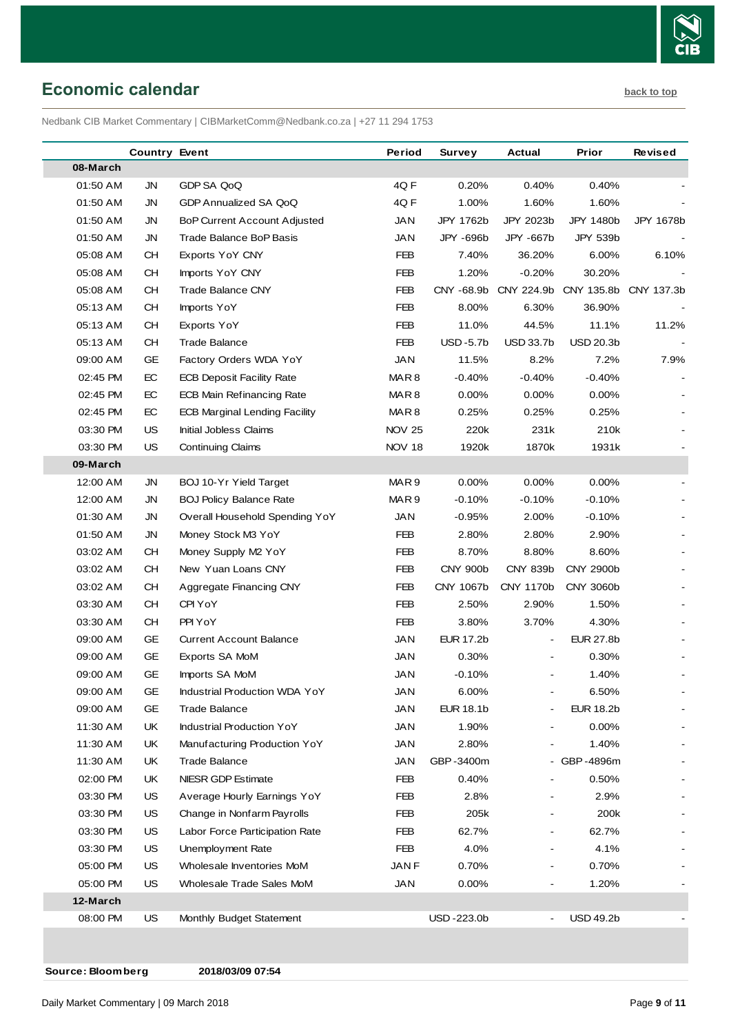

<span id="page-8-0"></span>**Economic calendar [back to top](#page-0-0)** 

Nedbank CIB Market Commentary | CIBMarketComm@Nedbank.co.za | +27 11 294 1753

| 08-March<br><b>JN</b><br>GDP SA QoQ<br>4Q F<br>0.40%<br>0.40%<br>01:50 AM<br>0.20%<br>01:50 AM<br>JN<br>4Q F<br>1.00%<br>1.60%<br>GDP Annualized SA QoQ<br>1.60%<br>01:50 AM<br><b>JN</b><br>JAN<br>JPY 1762b<br>JPY 2023b<br>JPY 1480b<br>JPY 1678b<br><b>BoP Current Account Adjusted</b><br>JAN<br>JPY -696b<br>JPY 539b<br>01:50 AM<br>JN<br>Trade Balance BoP Basis<br>JPY -667b<br>05:08 AM<br><b>CH</b><br><b>FEB</b><br>7.40%<br>36.20%<br>6.00%<br>6.10%<br>Exports YoY CNY<br>05:08 AM<br>CH.<br><b>FEB</b><br>1.20%<br>$-0.20%$<br>30.20%<br>Imports YoY CNY<br>05:08 AM<br><b>CH</b><br><b>FEB</b><br>CNY -68.9b<br>CNY 224.9b CNY 135.8b<br>CNY 137.3b<br><b>Trade Balance CNY</b><br>8.00%<br>6.30%<br>36.90%<br>05:13 AM<br>CН<br>Imports YoY<br>FEB<br>05:13 AM<br><b>CH</b><br><b>FEB</b><br>11.1%<br>11.2%<br>Exports YoY<br>11.0%<br>44.5%<br><b>FEB</b><br>$USD -5.7b$<br><b>USD 33.7b</b><br>05:13 AM<br>CН<br><b>Trade Balance</b><br><b>USD 20.3b</b><br>09:00 AM<br>GE<br>JAN<br>11.5%<br>8.2%<br>7.2%<br>7.9%<br>Factory Orders WDA YoY<br>EC<br>02:45 PM<br><b>ECB Deposit Facility Rate</b><br>MAR8<br>$-0.40%$<br>$-0.40%$<br>$-0.40%$<br>02:45 PM<br>EC<br>MAR <sub>8</sub><br>0.00%<br>0.00%<br>0.00%<br><b>ECB Main Refinancing Rate</b><br>02:45 PM<br>EC<br><b>ECB Marginal Lending Facility</b><br>MAR8<br>0.25%<br>0.25%<br>0.25%<br>03:30 PM<br>US<br><b>NOV 25</b><br>220k<br>231k<br>210k<br>Initial Jobless Claims<br>03:30 PM<br>US<br><b>NOV 18</b><br>1920k<br>1870k<br>1931k<br><b>Continuing Claims</b><br>09-March<br>12:00 AM<br>MAR <sub>9</sub><br>0.00%<br>0.00%<br>JN<br>BOJ 10-Yr Yield Target<br>$0.00\%$<br>12:00 AM<br>MAR <sub>9</sub><br>$-0.10%$<br>$-0.10%$<br>$-0.10%$<br>JN<br><b>BOJ Policy Balance Rate</b><br>01:30 AM<br>JN<br>Overall Household Spending YoY<br>JAN<br>$-0.95%$<br>2.00%<br>$-0.10%$<br><b>FEB</b><br>2.80%<br>2.90%<br>01:50 AM<br>JN<br>Money Stock M3 YoY<br>2.80%<br><b>FEB</b><br>03:02 AM<br>CН<br>Money Supply M2 YoY<br>8.70%<br>8.80%<br>8.60%<br><b>CH</b><br><b>FEB</b><br><b>CNY 900b</b><br><b>CNY 839b</b><br>CNY 2900b<br>03:02 AM<br>New Yuan Loans CNY<br><b>FEB</b><br>CNY 1067b<br>CNY 1170b<br>CNY 3060b<br>03:02 AM<br>CН<br>Aggregate Financing CNY<br><b>CH</b><br>2.50%<br>03:30 AM<br>CPI YoY<br>FEB<br>2.90%<br>1.50%<br><b>CH</b><br>PPI YoY<br><b>FEB</b><br>03:30 AM<br>3.80%<br>3.70%<br>4.30%<br>09:00 AM<br><b>GE</b><br><b>JAN</b><br><b>EUR 17.2b</b><br><b>EUR 27.8b</b><br><b>Current Account Balance</b><br>GE<br>09:00 AM<br>Exports SA MoM<br>JAN<br>0.30%<br>0.30%<br>GE<br><b>JAN</b><br>1.40%<br>09:00 AM<br>Imports SA MoM<br>$-0.10%$<br>GE<br><b>JAN</b><br>09:00 AM<br>Industrial Production WDA YoY<br>6.00%<br>6.50%<br>GE<br><b>JAN</b><br><b>EUR 18.1b</b><br><b>EUR 18.2b</b><br>09:00 AM<br><b>Trade Balance</b><br>UK<br><b>JAN</b><br>1.90%<br>0.00%<br>11:30 AM<br>Industrial Production YoY<br>1.40%<br>11:30 AM<br>UK<br>Manufacturing Production YoY<br>JAN<br>2.80%<br>GBP-3400m<br>- GBP-4896m<br>11:30 AM<br>UK<br><b>Trade Balance</b><br>JAN<br>02:00 PM<br>NIESR GDP Estimate<br>0.50%<br>UK<br>FEB<br>0.40%<br>03:30 PM<br>US<br>Average Hourly Earnings YoY<br>FEB<br>2.8%<br>2.9%<br>03:30 PM<br><b>US</b><br>205k<br>200k<br>Change in Nonfarm Payrolls<br>FEB<br>03:30 PM<br>US<br>Labor Force Participation Rate<br>FEB<br>62.7%<br>62.7%<br>4.0%<br>4.1%<br>03:30 PM<br>US<br>Unemployment Rate<br>FEB<br>$\overline{\phantom{a}}$<br><b>US</b><br>0.70%<br>05:00 PM<br>Wholesale Inventories MoM<br>JAN F<br>0.70%<br><b>US</b><br><b>JAN</b><br>0.00%<br>1.20%<br>05:00 PM<br>Wholesale Trade Sales MoM<br>12-March<br>08:00 PM<br>US.<br>Monthly Budget Statement<br>USD-223.0b<br><b>USD 49.2b</b> | <b>Country Event</b> | Period | Survey | Actual | Prior | Revised |
|----------------------------------------------------------------------------------------------------------------------------------------------------------------------------------------------------------------------------------------------------------------------------------------------------------------------------------------------------------------------------------------------------------------------------------------------------------------------------------------------------------------------------------------------------------------------------------------------------------------------------------------------------------------------------------------------------------------------------------------------------------------------------------------------------------------------------------------------------------------------------------------------------------------------------------------------------------------------------------------------------------------------------------------------------------------------------------------------------------------------------------------------------------------------------------------------------------------------------------------------------------------------------------------------------------------------------------------------------------------------------------------------------------------------------------------------------------------------------------------------------------------------------------------------------------------------------------------------------------------------------------------------------------------------------------------------------------------------------------------------------------------------------------------------------------------------------------------------------------------------------------------------------------------------------------------------------------------------------------------------------------------------------------------------------------------------------------------------------------------------------------------------------------------------------------------------------------------------------------------------------------------------------------------------------------------------------------------------------------------------------------------------------------------------------------------------------------------------------------------------------------------------------------------------------------------------------------------------------------------------------------------------------------------------------------------------------------------------------------------------------------------------------------------------------------------------------------------------------------------------------------------------------------------------------------------------------------------------------------------------------------------------------------------------------------------------------------------------------------------------------------------------------------------------------------------------------------------------------------------------------------------------------------------------------------------------------------------------------------------------------------------------------------------------------------------------------------------------------------------------------------------------------------------------------------------------------------------------------------------------------------------------------------------------------------------------------------------------------------------------------------------|----------------------|--------|--------|--------|-------|---------|
|                                                                                                                                                                                                                                                                                                                                                                                                                                                                                                                                                                                                                                                                                                                                                                                                                                                                                                                                                                                                                                                                                                                                                                                                                                                                                                                                                                                                                                                                                                                                                                                                                                                                                                                                                                                                                                                                                                                                                                                                                                                                                                                                                                                                                                                                                                                                                                                                                                                                                                                                                                                                                                                                                                                                                                                                                                                                                                                                                                                                                                                                                                                                                                                                                                                                                                                                                                                                                                                                                                                                                                                                                                                                                                                                                                |                      |        |        |        |       |         |
|                                                                                                                                                                                                                                                                                                                                                                                                                                                                                                                                                                                                                                                                                                                                                                                                                                                                                                                                                                                                                                                                                                                                                                                                                                                                                                                                                                                                                                                                                                                                                                                                                                                                                                                                                                                                                                                                                                                                                                                                                                                                                                                                                                                                                                                                                                                                                                                                                                                                                                                                                                                                                                                                                                                                                                                                                                                                                                                                                                                                                                                                                                                                                                                                                                                                                                                                                                                                                                                                                                                                                                                                                                                                                                                                                                |                      |        |        |        |       |         |
|                                                                                                                                                                                                                                                                                                                                                                                                                                                                                                                                                                                                                                                                                                                                                                                                                                                                                                                                                                                                                                                                                                                                                                                                                                                                                                                                                                                                                                                                                                                                                                                                                                                                                                                                                                                                                                                                                                                                                                                                                                                                                                                                                                                                                                                                                                                                                                                                                                                                                                                                                                                                                                                                                                                                                                                                                                                                                                                                                                                                                                                                                                                                                                                                                                                                                                                                                                                                                                                                                                                                                                                                                                                                                                                                                                |                      |        |        |        |       |         |
|                                                                                                                                                                                                                                                                                                                                                                                                                                                                                                                                                                                                                                                                                                                                                                                                                                                                                                                                                                                                                                                                                                                                                                                                                                                                                                                                                                                                                                                                                                                                                                                                                                                                                                                                                                                                                                                                                                                                                                                                                                                                                                                                                                                                                                                                                                                                                                                                                                                                                                                                                                                                                                                                                                                                                                                                                                                                                                                                                                                                                                                                                                                                                                                                                                                                                                                                                                                                                                                                                                                                                                                                                                                                                                                                                                |                      |        |        |        |       |         |
|                                                                                                                                                                                                                                                                                                                                                                                                                                                                                                                                                                                                                                                                                                                                                                                                                                                                                                                                                                                                                                                                                                                                                                                                                                                                                                                                                                                                                                                                                                                                                                                                                                                                                                                                                                                                                                                                                                                                                                                                                                                                                                                                                                                                                                                                                                                                                                                                                                                                                                                                                                                                                                                                                                                                                                                                                                                                                                                                                                                                                                                                                                                                                                                                                                                                                                                                                                                                                                                                                                                                                                                                                                                                                                                                                                |                      |        |        |        |       |         |
|                                                                                                                                                                                                                                                                                                                                                                                                                                                                                                                                                                                                                                                                                                                                                                                                                                                                                                                                                                                                                                                                                                                                                                                                                                                                                                                                                                                                                                                                                                                                                                                                                                                                                                                                                                                                                                                                                                                                                                                                                                                                                                                                                                                                                                                                                                                                                                                                                                                                                                                                                                                                                                                                                                                                                                                                                                                                                                                                                                                                                                                                                                                                                                                                                                                                                                                                                                                                                                                                                                                                                                                                                                                                                                                                                                |                      |        |        |        |       |         |
|                                                                                                                                                                                                                                                                                                                                                                                                                                                                                                                                                                                                                                                                                                                                                                                                                                                                                                                                                                                                                                                                                                                                                                                                                                                                                                                                                                                                                                                                                                                                                                                                                                                                                                                                                                                                                                                                                                                                                                                                                                                                                                                                                                                                                                                                                                                                                                                                                                                                                                                                                                                                                                                                                                                                                                                                                                                                                                                                                                                                                                                                                                                                                                                                                                                                                                                                                                                                                                                                                                                                                                                                                                                                                                                                                                |                      |        |        |        |       |         |
|                                                                                                                                                                                                                                                                                                                                                                                                                                                                                                                                                                                                                                                                                                                                                                                                                                                                                                                                                                                                                                                                                                                                                                                                                                                                                                                                                                                                                                                                                                                                                                                                                                                                                                                                                                                                                                                                                                                                                                                                                                                                                                                                                                                                                                                                                                                                                                                                                                                                                                                                                                                                                                                                                                                                                                                                                                                                                                                                                                                                                                                                                                                                                                                                                                                                                                                                                                                                                                                                                                                                                                                                                                                                                                                                                                |                      |        |        |        |       |         |
|                                                                                                                                                                                                                                                                                                                                                                                                                                                                                                                                                                                                                                                                                                                                                                                                                                                                                                                                                                                                                                                                                                                                                                                                                                                                                                                                                                                                                                                                                                                                                                                                                                                                                                                                                                                                                                                                                                                                                                                                                                                                                                                                                                                                                                                                                                                                                                                                                                                                                                                                                                                                                                                                                                                                                                                                                                                                                                                                                                                                                                                                                                                                                                                                                                                                                                                                                                                                                                                                                                                                                                                                                                                                                                                                                                |                      |        |        |        |       |         |
|                                                                                                                                                                                                                                                                                                                                                                                                                                                                                                                                                                                                                                                                                                                                                                                                                                                                                                                                                                                                                                                                                                                                                                                                                                                                                                                                                                                                                                                                                                                                                                                                                                                                                                                                                                                                                                                                                                                                                                                                                                                                                                                                                                                                                                                                                                                                                                                                                                                                                                                                                                                                                                                                                                                                                                                                                                                                                                                                                                                                                                                                                                                                                                                                                                                                                                                                                                                                                                                                                                                                                                                                                                                                                                                                                                |                      |        |        |        |       |         |
|                                                                                                                                                                                                                                                                                                                                                                                                                                                                                                                                                                                                                                                                                                                                                                                                                                                                                                                                                                                                                                                                                                                                                                                                                                                                                                                                                                                                                                                                                                                                                                                                                                                                                                                                                                                                                                                                                                                                                                                                                                                                                                                                                                                                                                                                                                                                                                                                                                                                                                                                                                                                                                                                                                                                                                                                                                                                                                                                                                                                                                                                                                                                                                                                                                                                                                                                                                                                                                                                                                                                                                                                                                                                                                                                                                |                      |        |        |        |       |         |
|                                                                                                                                                                                                                                                                                                                                                                                                                                                                                                                                                                                                                                                                                                                                                                                                                                                                                                                                                                                                                                                                                                                                                                                                                                                                                                                                                                                                                                                                                                                                                                                                                                                                                                                                                                                                                                                                                                                                                                                                                                                                                                                                                                                                                                                                                                                                                                                                                                                                                                                                                                                                                                                                                                                                                                                                                                                                                                                                                                                                                                                                                                                                                                                                                                                                                                                                                                                                                                                                                                                                                                                                                                                                                                                                                                |                      |        |        |        |       |         |
|                                                                                                                                                                                                                                                                                                                                                                                                                                                                                                                                                                                                                                                                                                                                                                                                                                                                                                                                                                                                                                                                                                                                                                                                                                                                                                                                                                                                                                                                                                                                                                                                                                                                                                                                                                                                                                                                                                                                                                                                                                                                                                                                                                                                                                                                                                                                                                                                                                                                                                                                                                                                                                                                                                                                                                                                                                                                                                                                                                                                                                                                                                                                                                                                                                                                                                                                                                                                                                                                                                                                                                                                                                                                                                                                                                |                      |        |        |        |       |         |
|                                                                                                                                                                                                                                                                                                                                                                                                                                                                                                                                                                                                                                                                                                                                                                                                                                                                                                                                                                                                                                                                                                                                                                                                                                                                                                                                                                                                                                                                                                                                                                                                                                                                                                                                                                                                                                                                                                                                                                                                                                                                                                                                                                                                                                                                                                                                                                                                                                                                                                                                                                                                                                                                                                                                                                                                                                                                                                                                                                                                                                                                                                                                                                                                                                                                                                                                                                                                                                                                                                                                                                                                                                                                                                                                                                |                      |        |        |        |       |         |
|                                                                                                                                                                                                                                                                                                                                                                                                                                                                                                                                                                                                                                                                                                                                                                                                                                                                                                                                                                                                                                                                                                                                                                                                                                                                                                                                                                                                                                                                                                                                                                                                                                                                                                                                                                                                                                                                                                                                                                                                                                                                                                                                                                                                                                                                                                                                                                                                                                                                                                                                                                                                                                                                                                                                                                                                                                                                                                                                                                                                                                                                                                                                                                                                                                                                                                                                                                                                                                                                                                                                                                                                                                                                                                                                                                |                      |        |        |        |       |         |
|                                                                                                                                                                                                                                                                                                                                                                                                                                                                                                                                                                                                                                                                                                                                                                                                                                                                                                                                                                                                                                                                                                                                                                                                                                                                                                                                                                                                                                                                                                                                                                                                                                                                                                                                                                                                                                                                                                                                                                                                                                                                                                                                                                                                                                                                                                                                                                                                                                                                                                                                                                                                                                                                                                                                                                                                                                                                                                                                                                                                                                                                                                                                                                                                                                                                                                                                                                                                                                                                                                                                                                                                                                                                                                                                                                |                      |        |        |        |       |         |
|                                                                                                                                                                                                                                                                                                                                                                                                                                                                                                                                                                                                                                                                                                                                                                                                                                                                                                                                                                                                                                                                                                                                                                                                                                                                                                                                                                                                                                                                                                                                                                                                                                                                                                                                                                                                                                                                                                                                                                                                                                                                                                                                                                                                                                                                                                                                                                                                                                                                                                                                                                                                                                                                                                                                                                                                                                                                                                                                                                                                                                                                                                                                                                                                                                                                                                                                                                                                                                                                                                                                                                                                                                                                                                                                                                |                      |        |        |        |       |         |
|                                                                                                                                                                                                                                                                                                                                                                                                                                                                                                                                                                                                                                                                                                                                                                                                                                                                                                                                                                                                                                                                                                                                                                                                                                                                                                                                                                                                                                                                                                                                                                                                                                                                                                                                                                                                                                                                                                                                                                                                                                                                                                                                                                                                                                                                                                                                                                                                                                                                                                                                                                                                                                                                                                                                                                                                                                                                                                                                                                                                                                                                                                                                                                                                                                                                                                                                                                                                                                                                                                                                                                                                                                                                                                                                                                |                      |        |        |        |       |         |
|                                                                                                                                                                                                                                                                                                                                                                                                                                                                                                                                                                                                                                                                                                                                                                                                                                                                                                                                                                                                                                                                                                                                                                                                                                                                                                                                                                                                                                                                                                                                                                                                                                                                                                                                                                                                                                                                                                                                                                                                                                                                                                                                                                                                                                                                                                                                                                                                                                                                                                                                                                                                                                                                                                                                                                                                                                                                                                                                                                                                                                                                                                                                                                                                                                                                                                                                                                                                                                                                                                                                                                                                                                                                                                                                                                |                      |        |        |        |       |         |
|                                                                                                                                                                                                                                                                                                                                                                                                                                                                                                                                                                                                                                                                                                                                                                                                                                                                                                                                                                                                                                                                                                                                                                                                                                                                                                                                                                                                                                                                                                                                                                                                                                                                                                                                                                                                                                                                                                                                                                                                                                                                                                                                                                                                                                                                                                                                                                                                                                                                                                                                                                                                                                                                                                                                                                                                                                                                                                                                                                                                                                                                                                                                                                                                                                                                                                                                                                                                                                                                                                                                                                                                                                                                                                                                                                |                      |        |        |        |       |         |
|                                                                                                                                                                                                                                                                                                                                                                                                                                                                                                                                                                                                                                                                                                                                                                                                                                                                                                                                                                                                                                                                                                                                                                                                                                                                                                                                                                                                                                                                                                                                                                                                                                                                                                                                                                                                                                                                                                                                                                                                                                                                                                                                                                                                                                                                                                                                                                                                                                                                                                                                                                                                                                                                                                                                                                                                                                                                                                                                                                                                                                                                                                                                                                                                                                                                                                                                                                                                                                                                                                                                                                                                                                                                                                                                                                |                      |        |        |        |       |         |
|                                                                                                                                                                                                                                                                                                                                                                                                                                                                                                                                                                                                                                                                                                                                                                                                                                                                                                                                                                                                                                                                                                                                                                                                                                                                                                                                                                                                                                                                                                                                                                                                                                                                                                                                                                                                                                                                                                                                                                                                                                                                                                                                                                                                                                                                                                                                                                                                                                                                                                                                                                                                                                                                                                                                                                                                                                                                                                                                                                                                                                                                                                                                                                                                                                                                                                                                                                                                                                                                                                                                                                                                                                                                                                                                                                |                      |        |        |        |       |         |
|                                                                                                                                                                                                                                                                                                                                                                                                                                                                                                                                                                                                                                                                                                                                                                                                                                                                                                                                                                                                                                                                                                                                                                                                                                                                                                                                                                                                                                                                                                                                                                                                                                                                                                                                                                                                                                                                                                                                                                                                                                                                                                                                                                                                                                                                                                                                                                                                                                                                                                                                                                                                                                                                                                                                                                                                                                                                                                                                                                                                                                                                                                                                                                                                                                                                                                                                                                                                                                                                                                                                                                                                                                                                                                                                                                |                      |        |        |        |       |         |
|                                                                                                                                                                                                                                                                                                                                                                                                                                                                                                                                                                                                                                                                                                                                                                                                                                                                                                                                                                                                                                                                                                                                                                                                                                                                                                                                                                                                                                                                                                                                                                                                                                                                                                                                                                                                                                                                                                                                                                                                                                                                                                                                                                                                                                                                                                                                                                                                                                                                                                                                                                                                                                                                                                                                                                                                                                                                                                                                                                                                                                                                                                                                                                                                                                                                                                                                                                                                                                                                                                                                                                                                                                                                                                                                                                |                      |        |        |        |       |         |
|                                                                                                                                                                                                                                                                                                                                                                                                                                                                                                                                                                                                                                                                                                                                                                                                                                                                                                                                                                                                                                                                                                                                                                                                                                                                                                                                                                                                                                                                                                                                                                                                                                                                                                                                                                                                                                                                                                                                                                                                                                                                                                                                                                                                                                                                                                                                                                                                                                                                                                                                                                                                                                                                                                                                                                                                                                                                                                                                                                                                                                                                                                                                                                                                                                                                                                                                                                                                                                                                                                                                                                                                                                                                                                                                                                |                      |        |        |        |       |         |
|                                                                                                                                                                                                                                                                                                                                                                                                                                                                                                                                                                                                                                                                                                                                                                                                                                                                                                                                                                                                                                                                                                                                                                                                                                                                                                                                                                                                                                                                                                                                                                                                                                                                                                                                                                                                                                                                                                                                                                                                                                                                                                                                                                                                                                                                                                                                                                                                                                                                                                                                                                                                                                                                                                                                                                                                                                                                                                                                                                                                                                                                                                                                                                                                                                                                                                                                                                                                                                                                                                                                                                                                                                                                                                                                                                |                      |        |        |        |       |         |
|                                                                                                                                                                                                                                                                                                                                                                                                                                                                                                                                                                                                                                                                                                                                                                                                                                                                                                                                                                                                                                                                                                                                                                                                                                                                                                                                                                                                                                                                                                                                                                                                                                                                                                                                                                                                                                                                                                                                                                                                                                                                                                                                                                                                                                                                                                                                                                                                                                                                                                                                                                                                                                                                                                                                                                                                                                                                                                                                                                                                                                                                                                                                                                                                                                                                                                                                                                                                                                                                                                                                                                                                                                                                                                                                                                |                      |        |        |        |       |         |
|                                                                                                                                                                                                                                                                                                                                                                                                                                                                                                                                                                                                                                                                                                                                                                                                                                                                                                                                                                                                                                                                                                                                                                                                                                                                                                                                                                                                                                                                                                                                                                                                                                                                                                                                                                                                                                                                                                                                                                                                                                                                                                                                                                                                                                                                                                                                                                                                                                                                                                                                                                                                                                                                                                                                                                                                                                                                                                                                                                                                                                                                                                                                                                                                                                                                                                                                                                                                                                                                                                                                                                                                                                                                                                                                                                |                      |        |        |        |       |         |
|                                                                                                                                                                                                                                                                                                                                                                                                                                                                                                                                                                                                                                                                                                                                                                                                                                                                                                                                                                                                                                                                                                                                                                                                                                                                                                                                                                                                                                                                                                                                                                                                                                                                                                                                                                                                                                                                                                                                                                                                                                                                                                                                                                                                                                                                                                                                                                                                                                                                                                                                                                                                                                                                                                                                                                                                                                                                                                                                                                                                                                                                                                                                                                                                                                                                                                                                                                                                                                                                                                                                                                                                                                                                                                                                                                |                      |        |        |        |       |         |
|                                                                                                                                                                                                                                                                                                                                                                                                                                                                                                                                                                                                                                                                                                                                                                                                                                                                                                                                                                                                                                                                                                                                                                                                                                                                                                                                                                                                                                                                                                                                                                                                                                                                                                                                                                                                                                                                                                                                                                                                                                                                                                                                                                                                                                                                                                                                                                                                                                                                                                                                                                                                                                                                                                                                                                                                                                                                                                                                                                                                                                                                                                                                                                                                                                                                                                                                                                                                                                                                                                                                                                                                                                                                                                                                                                |                      |        |        |        |       |         |
|                                                                                                                                                                                                                                                                                                                                                                                                                                                                                                                                                                                                                                                                                                                                                                                                                                                                                                                                                                                                                                                                                                                                                                                                                                                                                                                                                                                                                                                                                                                                                                                                                                                                                                                                                                                                                                                                                                                                                                                                                                                                                                                                                                                                                                                                                                                                                                                                                                                                                                                                                                                                                                                                                                                                                                                                                                                                                                                                                                                                                                                                                                                                                                                                                                                                                                                                                                                                                                                                                                                                                                                                                                                                                                                                                                |                      |        |        |        |       |         |
|                                                                                                                                                                                                                                                                                                                                                                                                                                                                                                                                                                                                                                                                                                                                                                                                                                                                                                                                                                                                                                                                                                                                                                                                                                                                                                                                                                                                                                                                                                                                                                                                                                                                                                                                                                                                                                                                                                                                                                                                                                                                                                                                                                                                                                                                                                                                                                                                                                                                                                                                                                                                                                                                                                                                                                                                                                                                                                                                                                                                                                                                                                                                                                                                                                                                                                                                                                                                                                                                                                                                                                                                                                                                                                                                                                |                      |        |        |        |       |         |
|                                                                                                                                                                                                                                                                                                                                                                                                                                                                                                                                                                                                                                                                                                                                                                                                                                                                                                                                                                                                                                                                                                                                                                                                                                                                                                                                                                                                                                                                                                                                                                                                                                                                                                                                                                                                                                                                                                                                                                                                                                                                                                                                                                                                                                                                                                                                                                                                                                                                                                                                                                                                                                                                                                                                                                                                                                                                                                                                                                                                                                                                                                                                                                                                                                                                                                                                                                                                                                                                                                                                                                                                                                                                                                                                                                |                      |        |        |        |       |         |
|                                                                                                                                                                                                                                                                                                                                                                                                                                                                                                                                                                                                                                                                                                                                                                                                                                                                                                                                                                                                                                                                                                                                                                                                                                                                                                                                                                                                                                                                                                                                                                                                                                                                                                                                                                                                                                                                                                                                                                                                                                                                                                                                                                                                                                                                                                                                                                                                                                                                                                                                                                                                                                                                                                                                                                                                                                                                                                                                                                                                                                                                                                                                                                                                                                                                                                                                                                                                                                                                                                                                                                                                                                                                                                                                                                |                      |        |        |        |       |         |
|                                                                                                                                                                                                                                                                                                                                                                                                                                                                                                                                                                                                                                                                                                                                                                                                                                                                                                                                                                                                                                                                                                                                                                                                                                                                                                                                                                                                                                                                                                                                                                                                                                                                                                                                                                                                                                                                                                                                                                                                                                                                                                                                                                                                                                                                                                                                                                                                                                                                                                                                                                                                                                                                                                                                                                                                                                                                                                                                                                                                                                                                                                                                                                                                                                                                                                                                                                                                                                                                                                                                                                                                                                                                                                                                                                |                      |        |        |        |       |         |
|                                                                                                                                                                                                                                                                                                                                                                                                                                                                                                                                                                                                                                                                                                                                                                                                                                                                                                                                                                                                                                                                                                                                                                                                                                                                                                                                                                                                                                                                                                                                                                                                                                                                                                                                                                                                                                                                                                                                                                                                                                                                                                                                                                                                                                                                                                                                                                                                                                                                                                                                                                                                                                                                                                                                                                                                                                                                                                                                                                                                                                                                                                                                                                                                                                                                                                                                                                                                                                                                                                                                                                                                                                                                                                                                                                |                      |        |        |        |       |         |
|                                                                                                                                                                                                                                                                                                                                                                                                                                                                                                                                                                                                                                                                                                                                                                                                                                                                                                                                                                                                                                                                                                                                                                                                                                                                                                                                                                                                                                                                                                                                                                                                                                                                                                                                                                                                                                                                                                                                                                                                                                                                                                                                                                                                                                                                                                                                                                                                                                                                                                                                                                                                                                                                                                                                                                                                                                                                                                                                                                                                                                                                                                                                                                                                                                                                                                                                                                                                                                                                                                                                                                                                                                                                                                                                                                |                      |        |        |        |       |         |
|                                                                                                                                                                                                                                                                                                                                                                                                                                                                                                                                                                                                                                                                                                                                                                                                                                                                                                                                                                                                                                                                                                                                                                                                                                                                                                                                                                                                                                                                                                                                                                                                                                                                                                                                                                                                                                                                                                                                                                                                                                                                                                                                                                                                                                                                                                                                                                                                                                                                                                                                                                                                                                                                                                                                                                                                                                                                                                                                                                                                                                                                                                                                                                                                                                                                                                                                                                                                                                                                                                                                                                                                                                                                                                                                                                |                      |        |        |        |       |         |
|                                                                                                                                                                                                                                                                                                                                                                                                                                                                                                                                                                                                                                                                                                                                                                                                                                                                                                                                                                                                                                                                                                                                                                                                                                                                                                                                                                                                                                                                                                                                                                                                                                                                                                                                                                                                                                                                                                                                                                                                                                                                                                                                                                                                                                                                                                                                                                                                                                                                                                                                                                                                                                                                                                                                                                                                                                                                                                                                                                                                                                                                                                                                                                                                                                                                                                                                                                                                                                                                                                                                                                                                                                                                                                                                                                |                      |        |        |        |       |         |
|                                                                                                                                                                                                                                                                                                                                                                                                                                                                                                                                                                                                                                                                                                                                                                                                                                                                                                                                                                                                                                                                                                                                                                                                                                                                                                                                                                                                                                                                                                                                                                                                                                                                                                                                                                                                                                                                                                                                                                                                                                                                                                                                                                                                                                                                                                                                                                                                                                                                                                                                                                                                                                                                                                                                                                                                                                                                                                                                                                                                                                                                                                                                                                                                                                                                                                                                                                                                                                                                                                                                                                                                                                                                                                                                                                |                      |        |        |        |       |         |
|                                                                                                                                                                                                                                                                                                                                                                                                                                                                                                                                                                                                                                                                                                                                                                                                                                                                                                                                                                                                                                                                                                                                                                                                                                                                                                                                                                                                                                                                                                                                                                                                                                                                                                                                                                                                                                                                                                                                                                                                                                                                                                                                                                                                                                                                                                                                                                                                                                                                                                                                                                                                                                                                                                                                                                                                                                                                                                                                                                                                                                                                                                                                                                                                                                                                                                                                                                                                                                                                                                                                                                                                                                                                                                                                                                |                      |        |        |        |       |         |
|                                                                                                                                                                                                                                                                                                                                                                                                                                                                                                                                                                                                                                                                                                                                                                                                                                                                                                                                                                                                                                                                                                                                                                                                                                                                                                                                                                                                                                                                                                                                                                                                                                                                                                                                                                                                                                                                                                                                                                                                                                                                                                                                                                                                                                                                                                                                                                                                                                                                                                                                                                                                                                                                                                                                                                                                                                                                                                                                                                                                                                                                                                                                                                                                                                                                                                                                                                                                                                                                                                                                                                                                                                                                                                                                                                |                      |        |        |        |       |         |
|                                                                                                                                                                                                                                                                                                                                                                                                                                                                                                                                                                                                                                                                                                                                                                                                                                                                                                                                                                                                                                                                                                                                                                                                                                                                                                                                                                                                                                                                                                                                                                                                                                                                                                                                                                                                                                                                                                                                                                                                                                                                                                                                                                                                                                                                                                                                                                                                                                                                                                                                                                                                                                                                                                                                                                                                                                                                                                                                                                                                                                                                                                                                                                                                                                                                                                                                                                                                                                                                                                                                                                                                                                                                                                                                                                |                      |        |        |        |       |         |
|                                                                                                                                                                                                                                                                                                                                                                                                                                                                                                                                                                                                                                                                                                                                                                                                                                                                                                                                                                                                                                                                                                                                                                                                                                                                                                                                                                                                                                                                                                                                                                                                                                                                                                                                                                                                                                                                                                                                                                                                                                                                                                                                                                                                                                                                                                                                                                                                                                                                                                                                                                                                                                                                                                                                                                                                                                                                                                                                                                                                                                                                                                                                                                                                                                                                                                                                                                                                                                                                                                                                                                                                                                                                                                                                                                |                      |        |        |        |       |         |

**Source: Bloomberg 2018/03/09 07:54**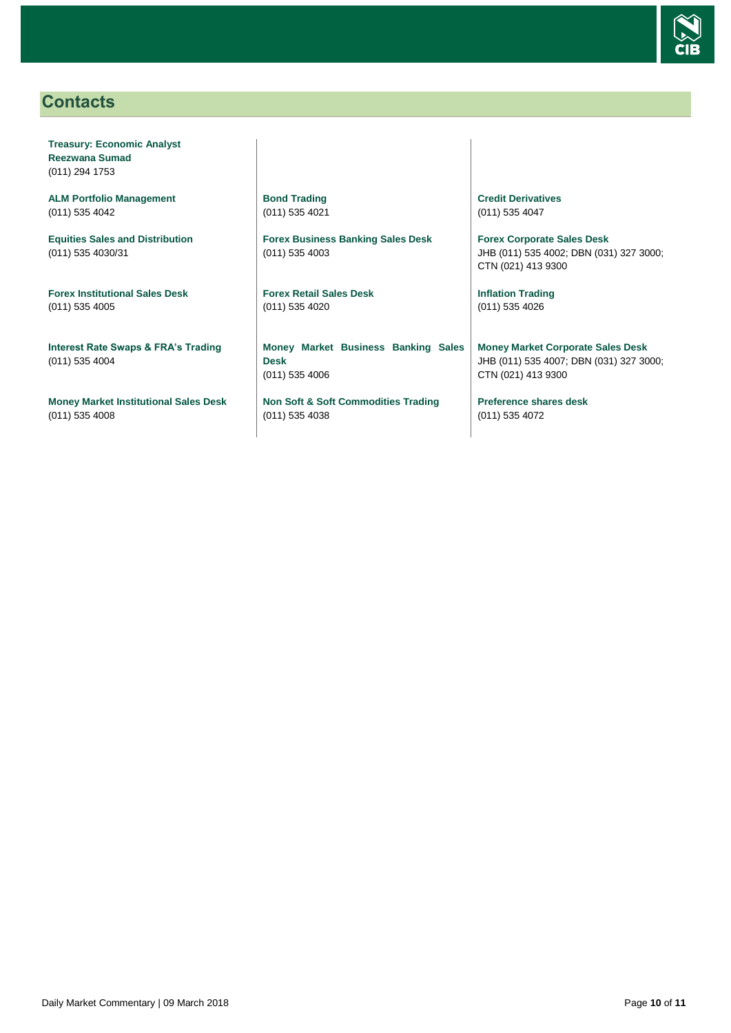

# <span id="page-9-0"></span>**Contacts**

**Treasury: Economic Analyst Reezwana Sumad** (011) 294 1753

**ALM Portfolio Management** (011) 535 4042

**Equities Sales and Distribution** (011) 535 4030/31

**Forex Institutional Sales Desk** (011) 535 4005

**Interest Rate Swaps & FRA's Trading** (011) 535 4004

**Money Market Institutional Sales Desk** (011) 535 4008

**Bond Trading** (011) 535 4021

**Forex Business Banking Sales Desk** (011) 535 4003

**Forex Retail Sales Desk** (011) 535 4020

**Money Market Business Banking Sales Desk** (011) 535 4006

**Non Soft & Soft Commodities Trading** (011) 535 4038

**Credit Derivatives**  (011) 535 4047

**Forex Corporate Sales Desk** JHB (011) 535 4002; DBN (031) 327 3000; CTN (021) 413 9300

**Inflation Trading** (011) 535 4026

**Money Market Corporate Sales Desk** JHB (011) 535 4007; DBN (031) 327 3000; CTN (021) 413 9300

**Preference shares desk** (011) 535 4072